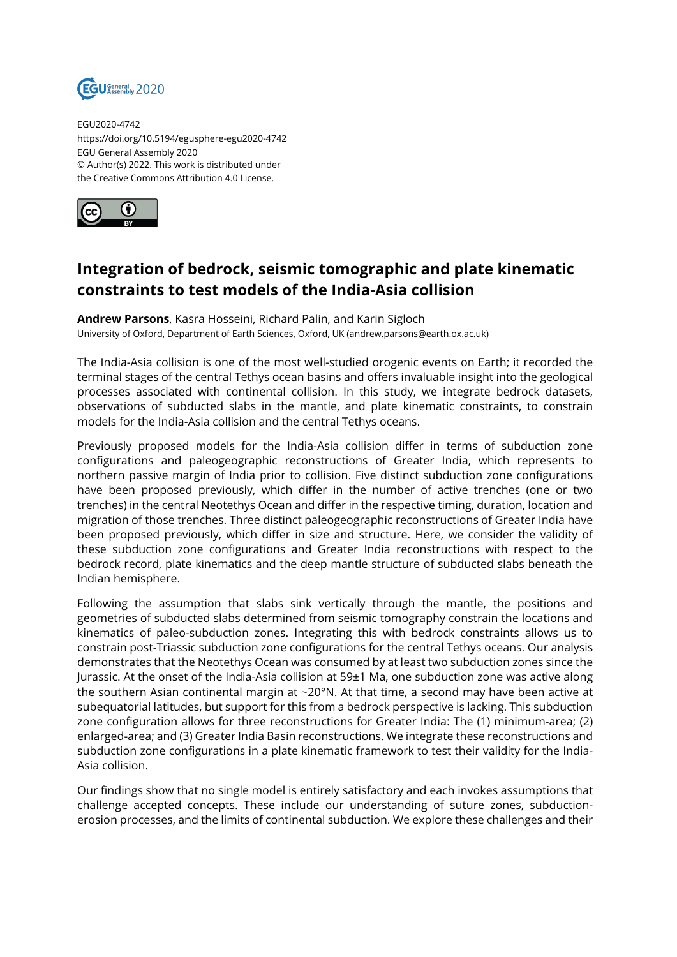

EGU2020-4742 https://doi.org/10.5194/egusphere-egu2020-4742 EGU General Assembly 2020 © Author(s) 2022. This work is distributed under the Creative Commons Attribution 4.0 License.



## **Integration of bedrock, seismic tomographic and plate kinematic constraints to test models of the India-Asia collision**

**Andrew Parsons**, Kasra Hosseini, Richard Palin, and Karin Sigloch University of Oxford, Department of Earth Sciences, Oxford, UK (andrew.parsons@earth.ox.ac.uk)

The India-Asia collision is one of the most well-studied orogenic events on Earth; it recorded the terminal stages of the central Tethys ocean basins and offers invaluable insight into the geological processes associated with continental collision. In this study, we integrate bedrock datasets, observations of subducted slabs in the mantle, and plate kinematic constraints, to constrain models for the India-Asia collision and the central Tethys oceans.

Previously proposed models for the India-Asia collision differ in terms of subduction zone configurations and paleogeographic reconstructions of Greater India, which represents to northern passive margin of India prior to collision. Five distinct subduction zone configurations have been proposed previously, which differ in the number of active trenches (one or two trenches) in the central Neotethys Ocean and differ in the respective timing, duration, location and migration of those trenches. Three distinct paleogeographic reconstructions of Greater India have been proposed previously, which differ in size and structure. Here, we consider the validity of these subduction zone configurations and Greater India reconstructions with respect to the bedrock record, plate kinematics and the deep mantle structure of subducted slabs beneath the Indian hemisphere.

Following the assumption that slabs sink vertically through the mantle, the positions and geometries of subducted slabs determined from seismic tomography constrain the locations and kinematics of paleo-subduction zones. Integrating this with bedrock constraints allows us to constrain post-Triassic subduction zone configurations for the central Tethys oceans. Our analysis demonstrates that the Neotethys Ocean was consumed by at least two subduction zones since the Jurassic. At the onset of the India-Asia collision at 59±1 Ma, one subduction zone was active along the southern Asian continental margin at  $\sim$ 20°N. At that time, a second may have been active at subequatorial latitudes, but support for this from a bedrock perspective is lacking. This subduction zone configuration allows for three reconstructions for Greater India: The (1) minimum-area; (2) enlarged-area; and (3) Greater India Basin reconstructions. We integrate these reconstructions and subduction zone configurations in a plate kinematic framework to test their validity for the India-Asia collision.

Our findings show that no single model is entirely satisfactory and each invokes assumptions that challenge accepted concepts. These include our understanding of suture zones, subductionerosion processes, and the limits of continental subduction. We explore these challenges and their